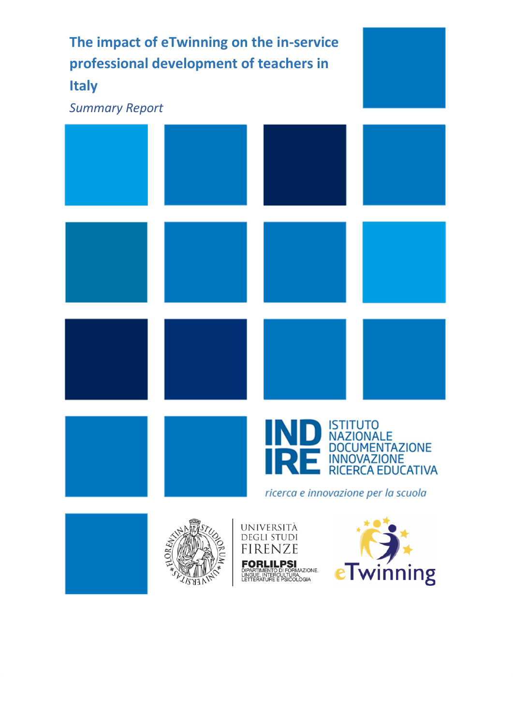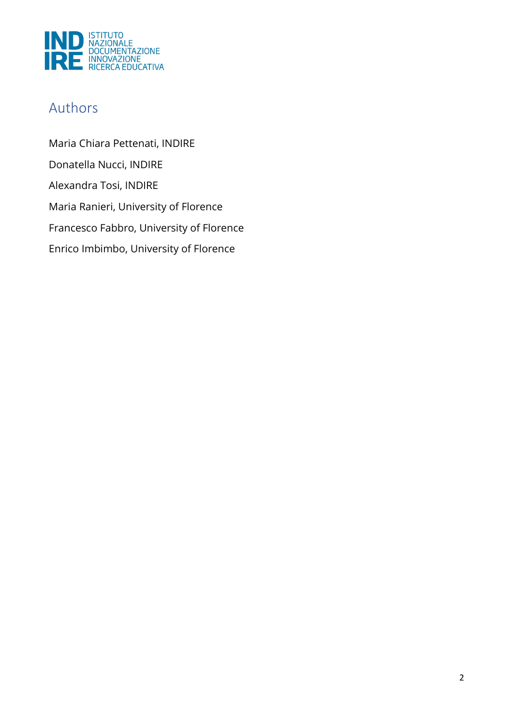

## Authors

Maria Chiara Pettenati, INDIRE Donatella Nucci, INDIRE Alexandra Tosi, INDIRE Maria Ranieri, University of Florence Francesco Fabbro, University of Florence Enrico Imbimbo, University of Florence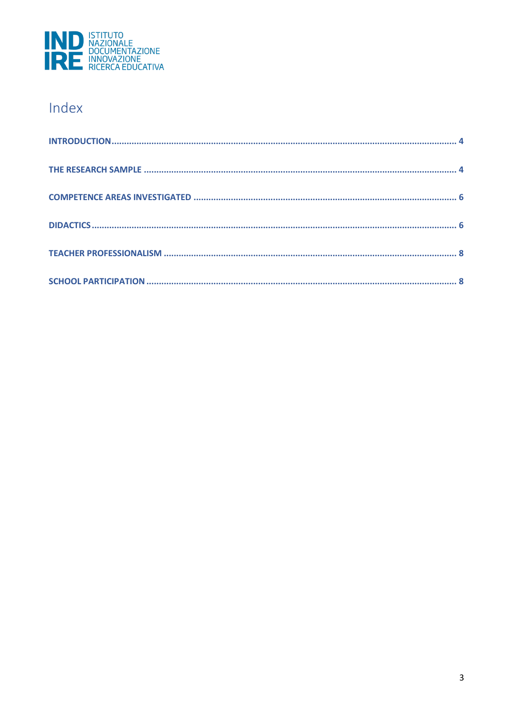

# Index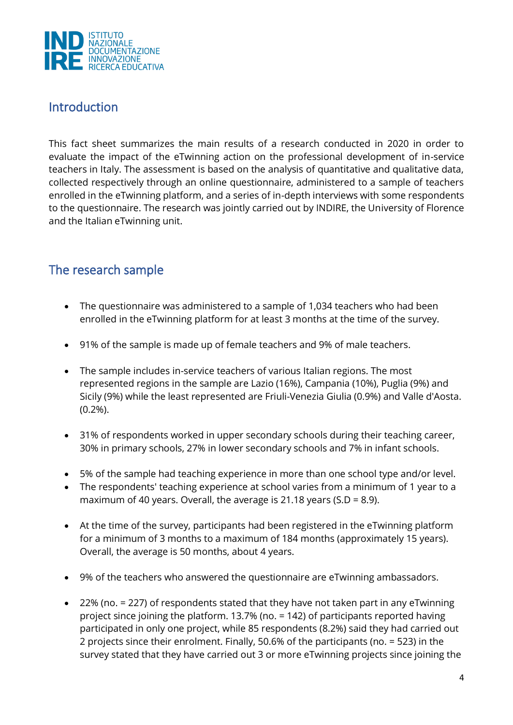

#### <span id="page-3-0"></span>Introduction

This fact sheet summarizes the main results of a research conducted in 2020 in order to evaluate the impact of the eTwinning action on the professional development of in-service teachers in Italy. The assessment is based on the analysis of quantitative and qualitative data, collected respectively through an online questionnaire, administered to a sample of teachers enrolled in the eTwinning platform, and a series of in-depth interviews with some respondents to the questionnaire. The research was jointly carried out by INDIRE, the University of Florence and the Italian eTwinning unit.

### <span id="page-3-1"></span>The research sample

- The questionnaire was administered to a sample of 1,034 teachers who had been enrolled in the eTwinning platform for at least 3 months at the time of the survey.
- 91% of the sample is made up of female teachers and 9% of male teachers.
- The sample includes in-service teachers of various Italian regions. The most represented regions in the sample are Lazio (16%), Campania (10%), Puglia (9%) and Sicily (9%) while the least represented are Friuli-Venezia Giulia (0.9%) and Valle d'Aosta. (0.2%).
- 31% of respondents worked in upper secondary schools during their teaching career, 30% in primary schools, 27% in lower secondary schools and 7% in infant schools.
- 5% of the sample had teaching experience in more than one school type and/or level.
- The respondents' teaching experience at school varies from a minimum of 1 year to a maximum of 40 years. Overall, the average is 21.18 years (S.D = 8.9).
- At the time of the survey, participants had been registered in the eTwinning platform for a minimum of 3 months to a maximum of 184 months (approximately 15 years). Overall, the average is 50 months, about 4 years.
- 9% of the teachers who answered the questionnaire are eTwinning ambassadors.
- 22% (no. = 227) of respondents stated that they have not taken part in any eTwinning project since joining the platform. 13.7% (no. = 142) of participants reported having participated in only one project, while 85 respondents (8.2%) said they had carried out 2 projects since their enrolment. Finally, 50.6% of the participants (no. = 523) in the survey stated that they have carried out 3 or more eTwinning projects since joining the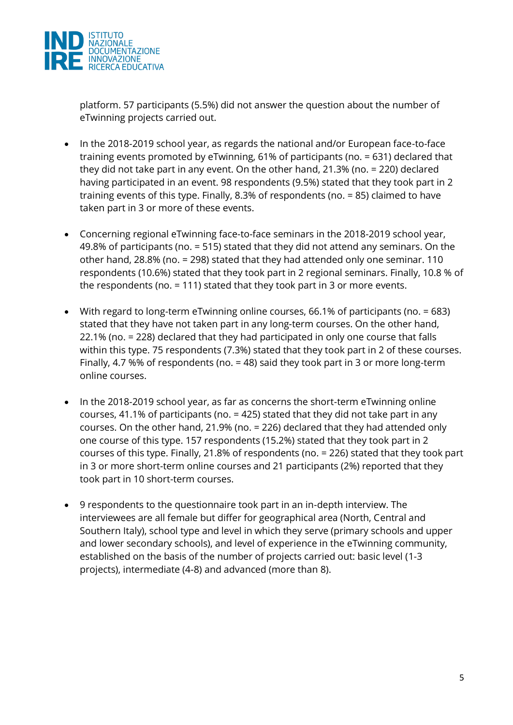

platform. 57 participants (5.5%) did not answer the question about the number of eTwinning projects carried out.

- In the 2018-2019 school year, as regards the national and/or European face-to-face training events promoted by eTwinning, 61% of participants (no. = 631) declared that they did not take part in any event. On the other hand, 21.3% (no. = 220) declared having participated in an event. 98 respondents (9.5%) stated that they took part in 2 training events of this type. Finally, 8.3% of respondents (no. = 85) claimed to have taken part in 3 or more of these events.
- Concerning regional eTwinning face-to-face seminars in the 2018-2019 school year, 49.8% of participants (no. = 515) stated that they did not attend any seminars. On the other hand, 28.8% (no. = 298) stated that they had attended only one seminar. 110 respondents (10.6%) stated that they took part in 2 regional seminars. Finally, 10.8 % of the respondents (no. = 111) stated that they took part in 3 or more events.
- With regard to long-term eTwinning online courses, 66.1% of participants (no. = 683) stated that they have not taken part in any long-term courses. On the other hand, 22.1% (no. = 228) declared that they had participated in only one course that falls within this type. 75 respondents (7.3%) stated that they took part in 2 of these courses. Finally, 4.7 %% of respondents (no. = 48) said they took part in 3 or more long-term online courses.
- In the 2018-2019 school year, as far as concerns the short-term eTwinning online courses, 41.1% of participants (no. = 425) stated that they did not take part in any courses. On the other hand, 21.9% (no. = 226) declared that they had attended only one course of this type. 157 respondents (15.2%) stated that they took part in 2 courses of this type. Finally, 21.8% of respondents (no. = 226) stated that they took part in 3 or more short-term online courses and 21 participants (2%) reported that they took part in 10 short-term courses.
- 9 respondents to the questionnaire took part in an in-depth interview. The interviewees are all female but differ for geographical area (North, Central and Southern Italy), school type and level in which they serve (primary schools and upper and lower secondary schools), and level of experience in the eTwinning community, established on the basis of the number of projects carried out: basic level (1-3 projects), intermediate (4-8) and advanced (more than 8).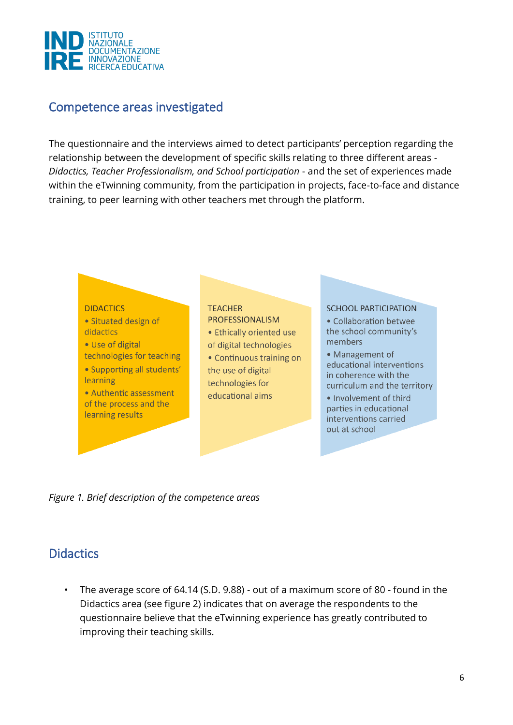

#### <span id="page-5-0"></span>Competence areas investigated

The questionnaire and the interviews aimed to detect participants' perception regarding the relationship between the development of specific skills relating to three different areas - *Didactics, Teacher Professionalism, and School participation* - and the set of experiences made within the eTwinning community, from the participation in projects, face-to-face and distance training, to peer learning with other teachers met through the platform.



<span id="page-5-1"></span>*Figure 1. Brief description of the competence areas* 

#### **Didactics**

• The average score of 64.14 (S.D. 9.88) - out of a maximum score of 80 - found in the Didactics area (see figure 2) indicates that on average the respondents to the questionnaire believe that the eTwinning experience has greatly contributed to improving their teaching skills.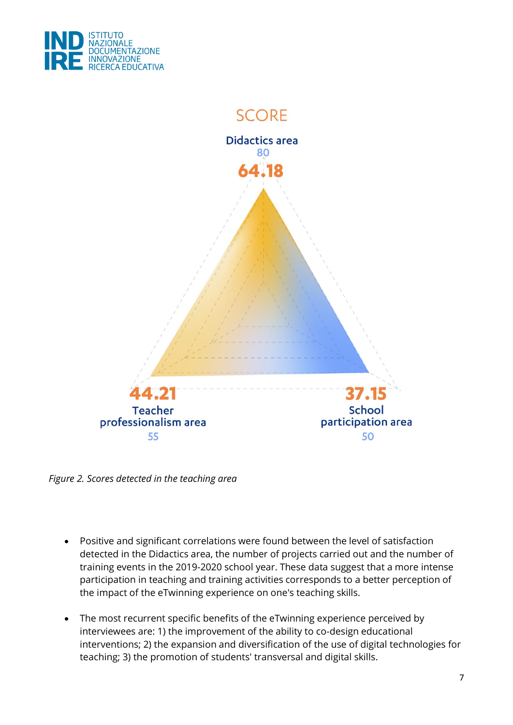



*Figure 2. Scores detected in the teaching area*

- Positive and significant correlations were found between the level of satisfaction detected in the Didactics area, the number of projects carried out and the number of training events in the 2019-2020 school year. These data suggest that a more intense participation in teaching and training activities corresponds to a better perception of the impact of the eTwinning experience on one's teaching skills.
- The most recurrent specific benefits of the eTwinning experience perceived by interviewees are: 1) the improvement of the ability to co-design educational interventions; 2) the expansion and diversification of the use of digital technologies for teaching; 3) the promotion of students' transversal and digital skills.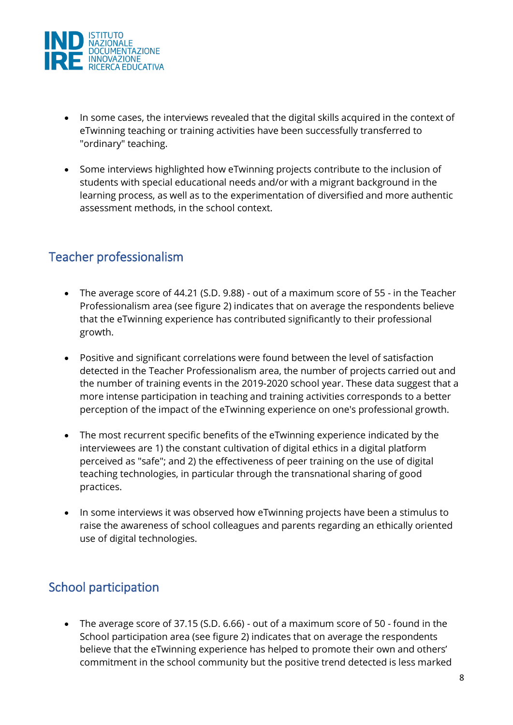

- In some cases, the interviews revealed that the digital skills acquired in the context of eTwinning teaching or training activities have been successfully transferred to "ordinary" teaching.
- Some interviews highlighted how eTwinning projects contribute to the inclusion of students with special educational needs and/or with a migrant background in the learning process, as well as to the experimentation of diversified and more authentic assessment methods, in the school context.

#### <span id="page-7-0"></span>Teacher professionalism

- The average score of 44.21 (S.D. 9.88) out of a maximum score of 55 in the Teacher Professionalism area (see figure 2) indicates that on average the respondents believe that the eTwinning experience has contributed significantly to their professional growth.
- Positive and significant correlations were found between the level of satisfaction detected in the Teacher Professionalism area, the number of projects carried out and the number of training events in the 2019-2020 school year. These data suggest that a more intense participation in teaching and training activities corresponds to a better perception of the impact of the eTwinning experience on one's professional growth.
- The most recurrent specific benefits of the eTwinning experience indicated by the interviewees are 1) the constant cultivation of digital ethics in a digital platform perceived as "safe"; and 2) the effectiveness of peer training on the use of digital teaching technologies, in particular through the transnational sharing of good practices.
- In some interviews it was observed how eTwinning projects have been a stimulus to raise the awareness of school colleagues and parents regarding an ethically oriented use of digital technologies.

### <span id="page-7-1"></span>School participation

• The average score of 37.15 (S.D. 6.66) - out of a maximum score of 50 - found in the School participation area (see figure 2) indicates that on average the respondents believe that the eTwinning experience has helped to promote their own and others' commitment in the school community but the positive trend detected is less marked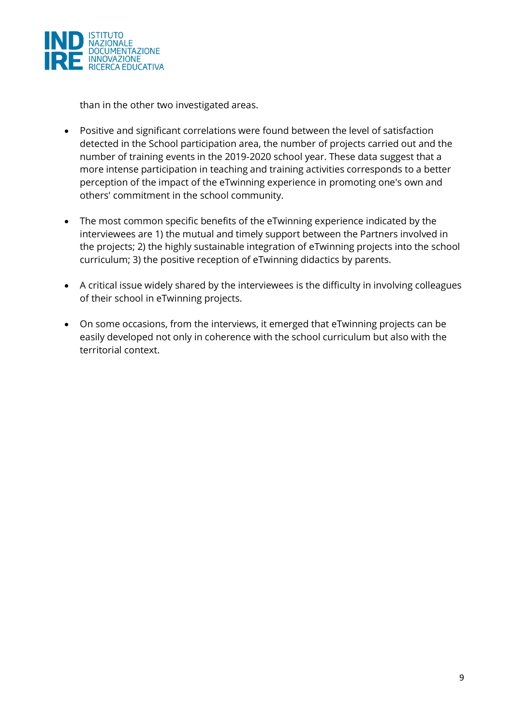

than in the other two investigated areas.

- Positive and significant correlations were found between the level of satisfaction detected in the School participation area, the number of projects carried out and the number of training events in the 2019-2020 school year. These data suggest that a more intense participation in teaching and training activities corresponds to a better perception of the impact of the eTwinning experience in promoting one's own and others' commitment in the school community.
- The most common specific benefits of the eTwinning experience indicated by the interviewees are 1) the mutual and timely support between the Partners involved in the projects; 2) the highly sustainable integration of eTwinning projects into the school curriculum; 3) the positive reception of eTwinning didactics by parents.
- A critical issue widely shared by the interviewees is the difficulty in involving colleagues of their school in eTwinning projects.
- On some occasions, from the interviews, it emerged that eTwinning projects can be easily developed not only in coherence with the school curriculum but also with the territorial context.